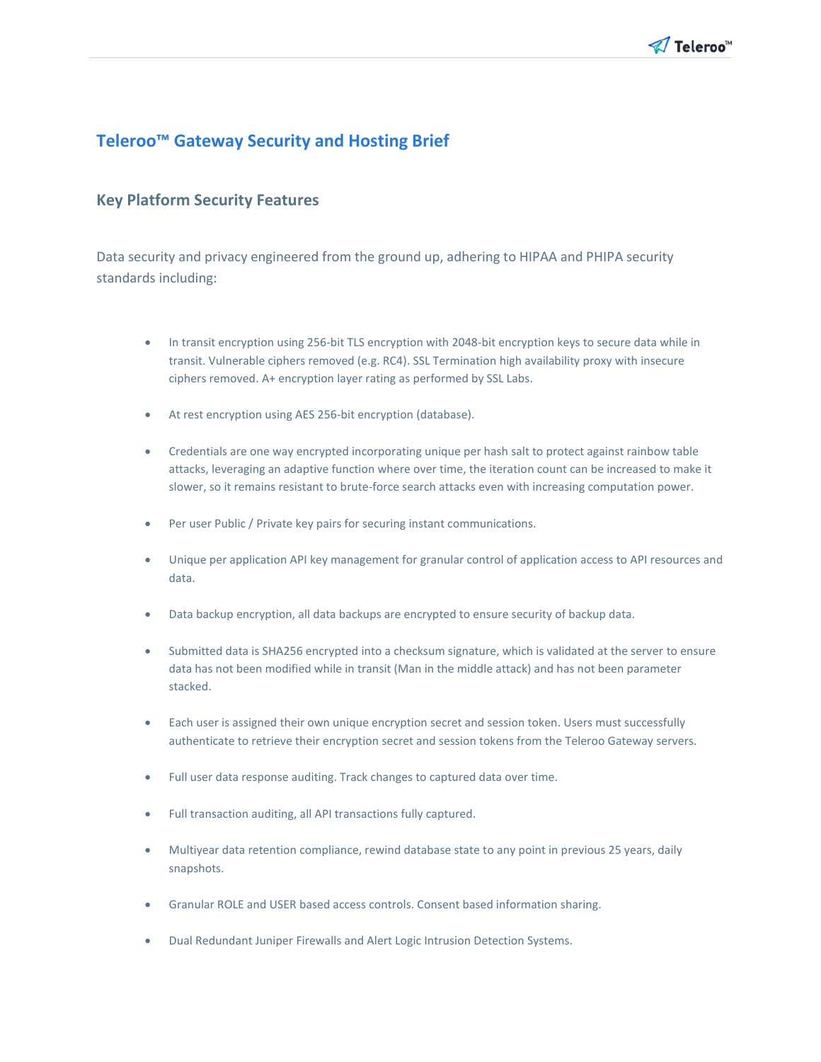

# **Teleroo™ Gateway Security and Hosting Brief**

### **Key Platform Security Features**

Data security and privacy engineered from the ground up, adhering to HIPAA and PHIPA security standards including:

- In transit encryption using 256-bit TLS encryption with 2048-bit encryption keys to secure data while in transit. Vulnerable ciphers removed (e.g. RC4). SSL Termination high availability proxy with insecure ciphers removed. A+ encryption layer rating as performed by SSL Labs.
- At rest encryption using AES 256-bit encryption (database).
- Credentials are one way encrypted incorporating unique per hash salt to protect against rainbow table attacks, leveraging an adaptive function where over time, the iteration count can be increased to make it slower, so it remains resistant to brute-force search attacks even with increasing computation power.
- Per user Public / Private key pairs for securing instant communications.
- Unique per application API key management for granular control of application access to API resources and data.
- Data backup encryption, all data backups are encrypted to ensure security of backup data.
- Submitted data is SHA256 encrypted into a checksum signature, which is validated at the server to ensure data has not been modified while in transit (Man in the middle attack) and has not been parameter stacked.
- Each user is assigned their own unique encryption secret and session token. Users must successfully authenticate to retrieve their encryption secret and session tokens from the Teleroo Gateway servers.
- Full user data response auditing. Track changes to captured data over time.
- Full transaction auditing, all API transactions fully captured.
- Multiyear data retention compliance, rewind database state to any point in previous 25 years, daily snapshots.
- Granular ROLE and USER based access controls. Consent based information sharing.
- Dual Redundant Juniper Firewalls and Alert Logic Intrusion Detection Systems.